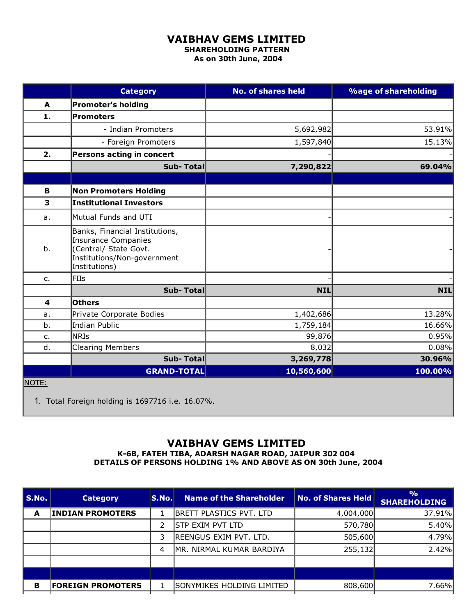## VAIBHAV GEMS LIMITED

SHAREHOLDING PATTERN As on 30th June, 2004

|                         | <b>Category</b>                                                                                                                       | <b>No. of shares held</b> | <b>%age of shareholding</b> |
|-------------------------|---------------------------------------------------------------------------------------------------------------------------------------|---------------------------|-----------------------------|
| A                       | <b>Promoter's holding</b>                                                                                                             |                           |                             |
| 1.                      | <b>Promoters</b>                                                                                                                      |                           |                             |
|                         | - Indian Promoters                                                                                                                    | 5,692,982                 | 53.91%                      |
|                         | - Foreign Promoters                                                                                                                   | 1,597,840                 | 15.13%                      |
| 2.                      | Persons acting in concert                                                                                                             |                           |                             |
|                         | Sub-Total                                                                                                                             | 7,290,822                 | 69.04%                      |
|                         |                                                                                                                                       |                           |                             |
| B                       | <b>Non Promoters Holding</b>                                                                                                          |                           |                             |
| $\overline{\mathbf{3}}$ | <b>Institutional Investors</b>                                                                                                        |                           |                             |
| a.                      | Mutual Funds and UTI                                                                                                                  |                           |                             |
| b.                      | Banks, Financial Institutions,<br><b>Insurance Companies</b><br>(Central/ State Govt.<br>Institutions/Non-government<br>Institutions) |                           |                             |
| $C_{1}$                 | <b>FIIs</b>                                                                                                                           |                           |                             |
|                         | Sub-Total                                                                                                                             | <b>NIL</b>                | <b>NIL</b>                  |
| 4                       | <b>Others</b>                                                                                                                         |                           |                             |
| a.                      | Private Corporate Bodies                                                                                                              | 1,402,686                 | 13.28%                      |
| b.                      | <b>Indian Public</b>                                                                                                                  | 1,759,184                 | 16.66%                      |
| $C_{1}$                 | <b>NRIS</b>                                                                                                                           | 99,876                    | 0.95%                       |
| d.                      | <b>Clearing Members</b>                                                                                                               | 8,032                     | 0.08%                       |
|                         | Sub-Total                                                                                                                             | 3,269,778                 | 30.96%                      |
|                         | <b>GRAND-TOTAL</b>                                                                                                                    | 10,560,600                | 100.00%                     |
| NOTE:                   |                                                                                                                                       |                           |                             |

1. Total Foreign holding is 1697716 i.e. 16.07%.

## VAIBHAV GEMS LIMITED

K6B, FATEH TIBA, ADARSH NAGAR ROAD, JAIPUR 302 004 DETAILS OF PERSONS HOLDING 1% AND ABOVE AS ON 30th June, 2004

| S.No. | <b>Category</b>          | S.No. | <b>Name of the Shareholder</b> | <b>No. of Shares Held</b> | O <sub>0</sub><br><b>SHAREHOLDING</b> |
|-------|--------------------------|-------|--------------------------------|---------------------------|---------------------------------------|
| A     | <b>INDIAN PROMOTERS</b>  |       | <b>BRETT PLASTICS PVT. LTD</b> | 4,004,000                 | 37.91%                                |
|       |                          |       | STP EXIM PVT LTD               | 570,780                   | 5.40%                                 |
|       |                          | 3     | REENGUS EXIM PVT. LTD.         | 505,600                   | 4.79%                                 |
|       |                          | 4     | MR. NIRMAL KUMAR BARDIYA       | 255,132                   | 2.42%                                 |
|       |                          |       |                                |                           |                                       |
|       |                          |       |                                |                           |                                       |
| в     | <b>FOREIGN PROMOTERS</b> |       | ISONYMIKES HOLDING LIMITED     | 808,600                   | 7.66%                                 |